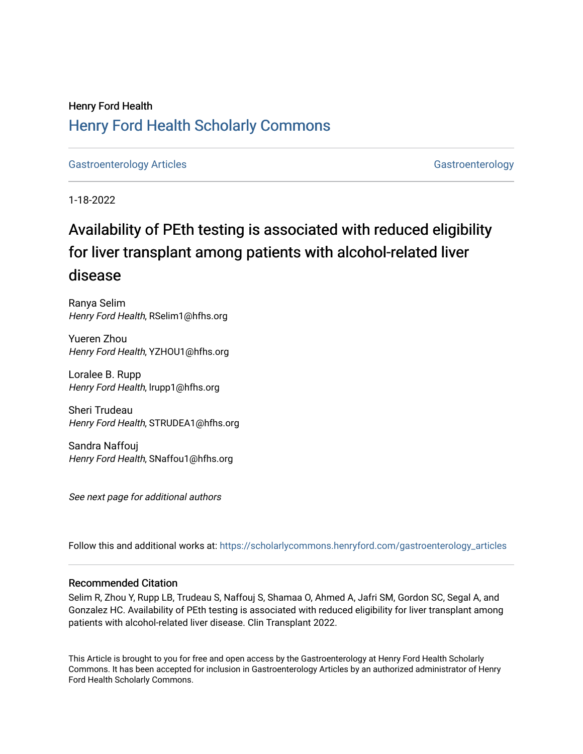## Henry Ford Health [Henry Ford Health Scholarly Commons](https://scholarlycommons.henryford.com/)

[Gastroenterology Articles](https://scholarlycommons.henryford.com/gastroenterology_articles) [Gastroenterology](https://scholarlycommons.henryford.com/gastroenterology) Articles Gastroenterology

1-18-2022

# Availability of PEth testing is associated with reduced eligibility for liver transplant among patients with alcohol-related liver disease

Ranya Selim Henry Ford Health, RSelim1@hfhs.org

Yueren Zhou Henry Ford Health, YZHOU1@hfhs.org

Loralee B. Rupp Henry Ford Health, lrupp1@hfhs.org

Sheri Trudeau Henry Ford Health, STRUDEA1@hfhs.org

Sandra Naffouj Henry Ford Health, SNaffou1@hfhs.org

See next page for additional authors

Follow this and additional works at: [https://scholarlycommons.henryford.com/gastroenterology\\_articles](https://scholarlycommons.henryford.com/gastroenterology_articles?utm_source=scholarlycommons.henryford.com%2Fgastroenterology_articles%2F242&utm_medium=PDF&utm_campaign=PDFCoverPages) 

## Recommended Citation

Selim R, Zhou Y, Rupp LB, Trudeau S, Naffouj S, Shamaa O, Ahmed A, Jafri SM, Gordon SC, Segal A, and Gonzalez HC. Availability of PEth testing is associated with reduced eligibility for liver transplant among patients with alcohol-related liver disease. Clin Transplant 2022.

This Article is brought to you for free and open access by the Gastroenterology at Henry Ford Health Scholarly Commons. It has been accepted for inclusion in Gastroenterology Articles by an authorized administrator of Henry Ford Health Scholarly Commons.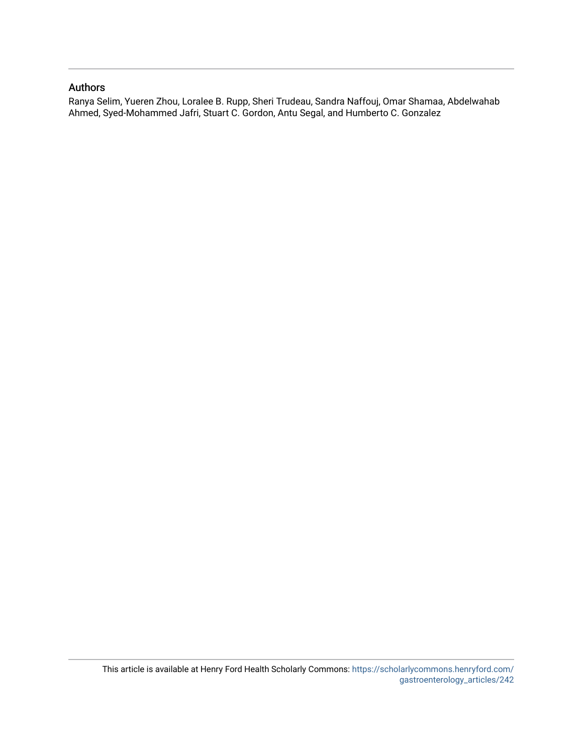## Authors

Ranya Selim, Yueren Zhou, Loralee B. Rupp, Sheri Trudeau, Sandra Naffouj, Omar Shamaa, Abdelwahab Ahmed, Syed-Mohammed Jafri, Stuart C. Gordon, Antu Segal, and Humberto C. Gonzalez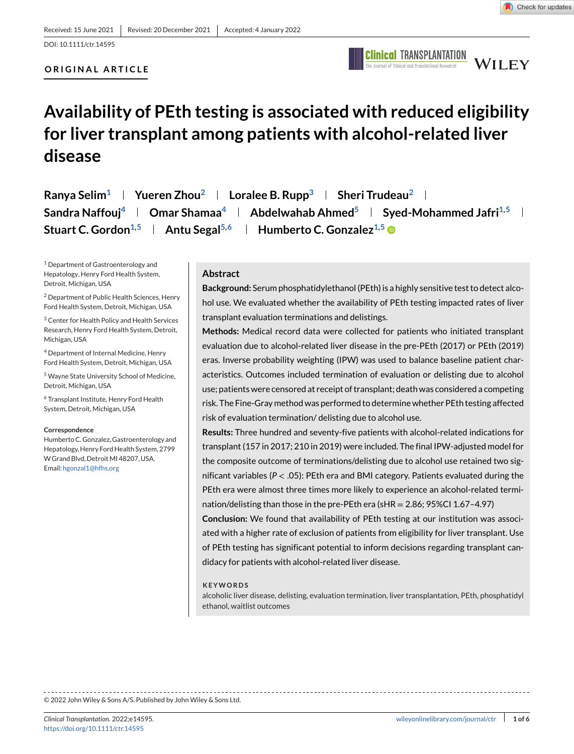DOI: 10.1111/ctr.14595

## **ORIGINAL ARTICLE**



# **Availability of PEth testing is associated with reduced eligibility for liver transplant among patients with alcohol-related liver disease**

**Ranya Selim<sup>1</sup> | Yueren Zhou<sup>2</sup> | Loralee B. Rupp<sup>3</sup> | Sheri Trudeau<sup>2</sup> | Sandra Naffouj**<sup>4</sup> **Omar Shamaa**<sup>4</sup> **Abdelwahab Ahmed**<sup>5</sup> **Syed-Mohammed Jafri**<sup>1,5</sup> **and Stuart C. Gordon**<sup>1,5</sup> | Antu Segal<sup>5,6</sup> | Humberto C. Gonzalez<sup>1,5</sup>

<sup>1</sup> Department of Gastroenterology and Hepatology, Henry Ford Health System, Detroit, Michigan, USA

<sup>2</sup> Department of Public Health Sciences, Henry Ford Health System, Detroit, Michigan, USA

<sup>3</sup> Center for Health Policy and Health Services Research, Henry Ford Health System, Detroit, Michigan, USA

<sup>4</sup> Department of Internal Medicine, Henry Ford Health System, Detroit, Michigan, USA

<sup>5</sup> Wayne State University School of Medicine, Detroit, Michigan, USA

<sup>6</sup> Transplant Institute, Henry Ford Health System, Detroit, Michigan, USA

#### **Correspondence**

Humberto C. Gonzalez, Gastroenterology and Hepatology, Henry Ford Health System, 2799 W Grand Blvd, Detroit MI 48207, USA. Email: [hgonzal1@hfhs.org](mailto:hgonzal1@hfhs.org)

## **Abstract**

**Background:** Serum phosphatidylethanol (PEth) is a highly sensitive test to detect alcohol use. We evaluated whether the availability of PEth testing impacted rates of liver transplant evaluation terminations and delistings.

**Methods:** Medical record data were collected for patients who initiated transplant evaluation due to alcohol-related liver disease in the pre-PEth (2017) or PEth (2019) eras. Inverse probability weighting (IPW) was used to balance baseline patient characteristics. Outcomes included termination of evaluation or delisting due to alcohol use; patients were censored at receipt of transplant; death was considered a competing risk. The Fine-Gray method was performed to determine whether PEth testing affected risk of evaluation termination/ delisting due to alcohol use.

**Results:** Three hundred and seventy-five patients with alcohol-related indications for transplant (157 in 2017; 210 in 2019) were included. The final IPW-adjusted model for the composite outcome of terminations/delisting due to alcohol use retained two significant variables (*P* <sup>&</sup>lt; .05): PEth era and BMI category. Patients evaluated during the PEth era were almost three times more likely to experience an alcohol-related termination/delisting than those in the pre-PEth era (sHR = 2.86; 95%CI 1.67–4.97)

**Conclusion:** We found that availability of PEth testing at our institution was associated with a higher rate of exclusion of patients from eligibility for liver transplant. Use of PEth testing has significant potential to inform decisions regarding transplant candidacy for patients with alcohol-related liver disease.

#### **KEYWORDS**

alcoholic liver disease, delisting, evaluation termination, liver transplantation, PEth, phosphatidyl ethanol, waitlist outcomes

© 2022 John Wiley & Sons A/S. Published by John Wiley & Sons Ltd.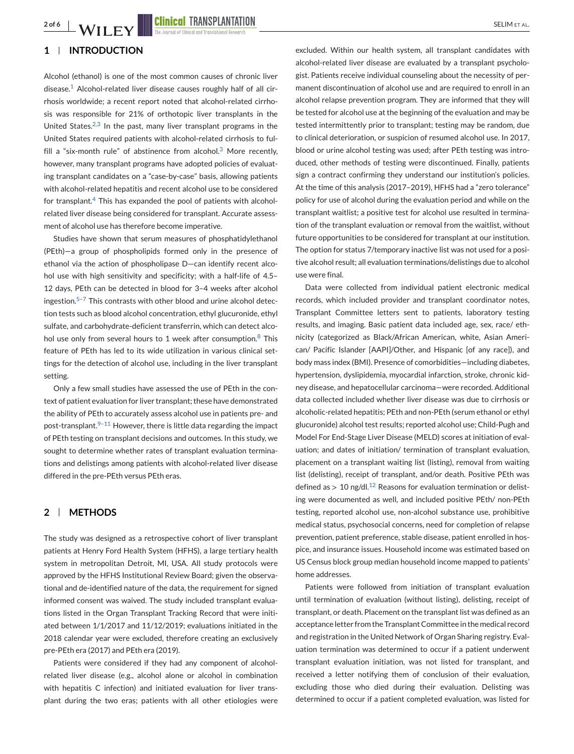## **1 INTRODUCTION**

Alcohol (ethanol) is one of the most common causes of chronic liver disease.<sup>[1](#page-7-0)</sup> Alcohol-related liver disease causes roughly half of all cirrhosis worldwide; a recent report noted that alcohol-related cirrhosis was responsible for 21% of orthotopic liver transplants in the United States.<sup>[2,3](#page-7-0)</sup> In the past, many liver transplant programs in the United States required patients with alcohol-related cirrhosis to ful-fill a "six-month rule" of abstinence from alcohol.<sup>[3](#page-7-0)</sup> More recently, however, many transplant programs have adopted policies of evaluating transplant candidates on a "case-by-case" basis, allowing patients with alcohol-related hepatitis and recent alcohol use to be considered for transplant. $4$  This has expanded the pool of patients with alcoholrelated liver disease being considered for transplant. Accurate assessment of alcohol use has therefore become imperative.

Studies have shown that serum measures of phosphatidylethanol (PEth)—a group of phospholipids formed only in the presence of ethanol via the action of phospholipase D—can identify recent alcohol use with high sensitivity and specificity; with a half-life of 4.5– 12 days, PEth can be detected in blood for 3–4 weeks after alcohol ingestion. $5-7$  This contrasts with other blood and urine alcohol detection tests such as blood alcohol concentration, ethyl glucuronide, ethyl sulfate, and carbohydrate-deficient transferrin, which can detect alcohol use only from several hours to 1 week after consumption. $8$  This feature of PEth has led to its wide utilization in various clinical settings for the detection of alcohol use, including in the liver transplant setting.

Only a few small studies have assessed the use of PEth in the context of patient evaluation for liver transplant; these have demonstrated the ability of PEth to accurately assess alcohol use in patients pre- and post-transplant. $9-11$  However, there is little data regarding the impact of PEth testing on transplant decisions and outcomes. In this study, we sought to determine whether rates of transplant evaluation terminations and delistings among patients with alcohol-related liver disease differed in the pre-PEth versus PEth eras.

## **2 METHODS**

The study was designed as a retrospective cohort of liver transplant patients at Henry Ford Health System (HFHS), a large tertiary health system in metropolitan Detroit, MI, USA. All study protocols were approved by the HFHS Institutional Review Board; given the observational and de-identified nature of the data, the requirement for signed informed consent was waived. The study included transplant evaluations listed in the Organ Transplant Tracking Record that were initiated between 1/1/2017 and 11/12/2019; evaluations initiated in the 2018 calendar year were excluded, therefore creating an exclusively pre-PEth era (2017) and PEth era (2019).

Patients were considered if they had any component of alcoholrelated liver disease (e.g., alcohol alone or alcohol in combination with hepatitis C infection) and initiated evaluation for liver transplant during the two eras; patients with all other etiologies were excluded. Within our health system, all transplant candidates with alcohol-related liver disease are evaluated by a transplant psychologist. Patients receive individual counseling about the necessity of permanent discontinuation of alcohol use and are required to enroll in an alcohol relapse prevention program. They are informed that they will be tested for alcohol use at the beginning of the evaluation and may be tested intermittently prior to transplant; testing may be random, due to clinical deterioration, or suspicion of resumed alcohol use. In 2017, blood or urine alcohol testing was used; after PEth testing was introduced, other methods of testing were discontinued. Finally, patients sign a contract confirming they understand our institution's policies. At the time of this analysis (2017–2019), HFHS had a "zero tolerance" policy for use of alcohol during the evaluation period and while on the transplant waitlist; a positive test for alcohol use resulted in termination of the transplant evaluation or removal from the waitlist, without future opportunities to be considered for transplant at our institution. The option for status 7/temporary inactive list was not used for a positive alcohol result; all evaluation terminations/delistings due to alcohol use were final.

Data were collected from individual patient electronic medical records, which included provider and transplant coordinator notes, Transplant Committee letters sent to patients, laboratory testing results, and imaging. Basic patient data included age, sex, race/ ethnicity (categorized as Black/African American, white, Asian American/ Pacific Islander [AAPI]/Other, and Hispanic [of any race]), and body mass index (BMI). Presence of comorbidities—including diabetes, hypertension, dyslipidemia, myocardial infarction, stroke, chronic kidney disease, and hepatocellular carcinoma—were recorded. Additional data collected included whether liver disease was due to cirrhosis or alcoholic-related hepatitis; PEth and non-PEth (serum ethanol or ethyl glucuronide) alcohol test results; reported alcohol use; Child-Pugh and Model For End-Stage Liver Disease (MELD) scores at initiation of evaluation; and dates of initiation/ termination of transplant evaluation, placement on a transplant waiting list (listing), removal from waiting list (delisting), receipt of transplant, and/or death. Positive PEth was defined as  $> 10$  ng/dl.<sup>[12](#page-7-0)</sup> Reasons for evaluation termination or delisting were documented as well, and included positive PEth/ non-PEth testing, reported alcohol use, non-alcohol substance use, prohibitive medical status, psychosocial concerns, need for completion of relapse prevention, patient preference, stable disease, patient enrolled in hospice, and insurance issues. Household income was estimated based on US Census block group median household income mapped to patients' home addresses.

Patients were followed from initiation of transplant evaluation until termination of evaluation (without listing), delisting, receipt of transplant, or death. Placement on the transplant list was defined as an acceptance letter from the Transplant Committee in the medical record and registration in the United Network of Organ Sharing registry. Evaluation termination was determined to occur if a patient underwent transplant evaluation initiation, was not listed for transplant, and received a letter notifying them of conclusion of their evaluation, excluding those who died during their evaluation. Delisting was determined to occur if a patient completed evaluation, was listed for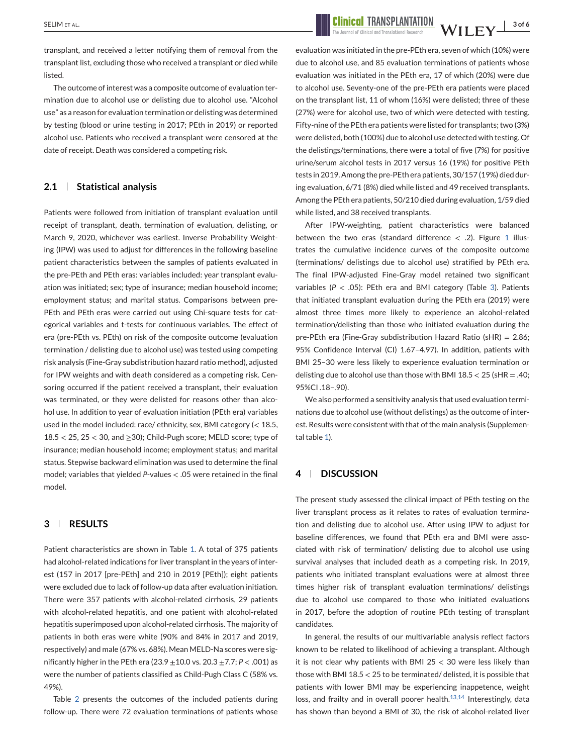transplant, and received a letter notifying them of removal from the transplant list, excluding those who received a transplant or died while listed.

The outcome of interest was a composite outcome of evaluation termination due to alcohol use or delisting due to alcohol use. "Alcohol use" as a reason for evaluation termination or delisting was determined by testing (blood or urine testing in 2017; PEth in 2019) or reported alcohol use. Patients who received a transplant were censored at the date of receipt. Death was considered a competing risk.

## **2.1 Statistical analysis**

Patients were followed from initiation of transplant evaluation until receipt of transplant, death, termination of evaluation, delisting, or March 9, 2020, whichever was earliest. Inverse Probability Weighting (IPW) was used to adjust for differences in the following baseline patient characteristics between the samples of patients evaluated in the pre-PEth and PEth eras: variables included: year transplant evaluation was initiated; sex; type of insurance; median household income; employment status; and marital status. Comparisons between pre-PEth and PEth eras were carried out using Chi-square tests for categorical variables and t-tests for continuous variables. The effect of era (pre-PEth vs. PEth) on risk of the composite outcome (evaluation termination / delisting due to alcohol use) was tested using competing risk analysis (Fine-Gray subdistribution hazard ratio method), adjusted for IPW weights and with death considered as a competing risk. Censoring occurred if the patient received a transplant, their evaluation was terminated, or they were delisted for reasons other than alcohol use. In addition to year of evaluation initiation (PEth era) variables used in the model included: race/ ethnicity, sex, BMI category (< 18.5,  $18.5 < 25$ ,  $25 < 30$ , and  $\geq$  30); Child-Pugh score; MELD score; type of insurance; median household income; employment status; and marital status. Stepwise backward elimination was used to determine the final model; variables that yielded *P*-values <sup>&</sup>lt; .05 were retained in the final model.

## **3 RESULTS**

Patient characteristics are shown in Table [1.](#page-5-0) A total of 375 patients had alcohol-related indications for liver transplant in the years of interest (157 in 2017 [pre-PEth] and 210 in 2019 [PEth]); eight patients were excluded due to lack of follow-up data after evaluation initiation. There were 357 patients with alcohol-related cirrhosis, 29 patients with alcohol-related hepatitis, and one patient with alcohol-related hepatitis superimposed upon alcohol-related cirrhosis. The majority of patients in both eras were white (90% and 84% in 2017 and 2019, respectively) and male (67% vs. 68%). Mean MELD-Na scores were significantly higher in the PEth era (23.9 <sup>±</sup>10.0 vs. 20.3 <sup>±</sup>7.7; *P* <sup>&</sup>lt; .001) as were the number of patients classified as Child-Pugh Class C (58% vs. 49%).

Table [2](#page-6-0) presents the outcomes of the included patients during follow-up. There were 72 evaluation terminations of patients whose

SELIM ET AL. **3 of 6** NICELARD TRANSPLANTATION TRANSPLANTATION NV II FV<sup>3 of 6</sup>

evaluation was initiated in the pre-PEth era, seven of which (10%) were due to alcohol use, and 85 evaluation terminations of patients whose evaluation was initiated in the PEth era, 17 of which (20%) were due to alcohol use. Seventy-one of the pre-PEth era patients were placed on the transplant list, 11 of whom (16%) were delisted; three of these (27%) were for alcohol use, two of which were detected with testing. Fifty-nine of the PEth era patients were listed for transplants; two (3%) were delisted, both (100%) due to alcohol use detected with testing. Of the delistings/terminations, there were a total of five (7%) for positive urine/serum alcohol tests in 2017 versus 16 (19%) for positive PEth tests in 2019. Among the pre-PEth era patients, 30/157 (19%) died during evaluation, 6/71 (8%) died while listed and 49 received transplants. Among the PEth era patients, 50/210 died during evaluation, 1/59 died while listed, and 38 received transplants.

After IPW-weighting, patient characteristics were balanced between the two eras (standard difference  $\langle$  .2). Figure [1](#page-6-0) illustrates the cumulative incidence curves of the composite outcome (terminations/ delistings due to alcohol use) stratified by PEth era. The final IPW-adjusted Fine-Gray model retained two significant variables (*P* <sup>&</sup>lt; .05): PEth era and BMI category (Table [3\)](#page-6-0). Patients that initiated transplant evaluation during the PEth era (2019) were almost three times more likely to experience an alcohol-related termination/delisting than those who initiated evaluation during the pre-PEth era (Fine-Gray subdistribution Hazard Ratio (sHR) = 2.86; 95% Confidence Interval (CI) 1.67–4.97). In addition, patients with BMI 25–30 were less likely to experience evaluation termination or delisting due to alcohol use than those with BMI  $18.5 < 25$  (sHR = .40; 95%CI .18–.90).

We also performed a sensitivity analysis that used evaluation terminations due to alcohol use (without delistings) as the outcome of interest. Results were consistent with that of the main analysis (Supplemental table 1).

## **4 DISCUSSION**

The present study assessed the clinical impact of PEth testing on the liver transplant process as it relates to rates of evaluation termination and delisting due to alcohol use. After using IPW to adjust for baseline differences, we found that PEth era and BMI were associated with risk of termination/ delisting due to alcohol use using survival analyses that included death as a competing risk. In 2019, patients who initiated transplant evaluations were at almost three times higher risk of transplant evaluation terminations/ delistings due to alcohol use compared to those who initiated evaluations in 2017, before the adoption of routine PEth testing of transplant candidates.

In general, the results of our multivariable analysis reflect factors known to be related to likelihood of achieving a transplant. Although it is not clear why patients with BMI 25  $<$  30 were less likely than those with BMI 18.5 < 25 to be terminated/ delisted, it is possible that patients with lower BMI may be experiencing inappetence, weight loss, and frailty and in overall poorer health. $13,14$  Interestingly, data has shown than beyond a BMI of 30, the risk of alcohol-related liver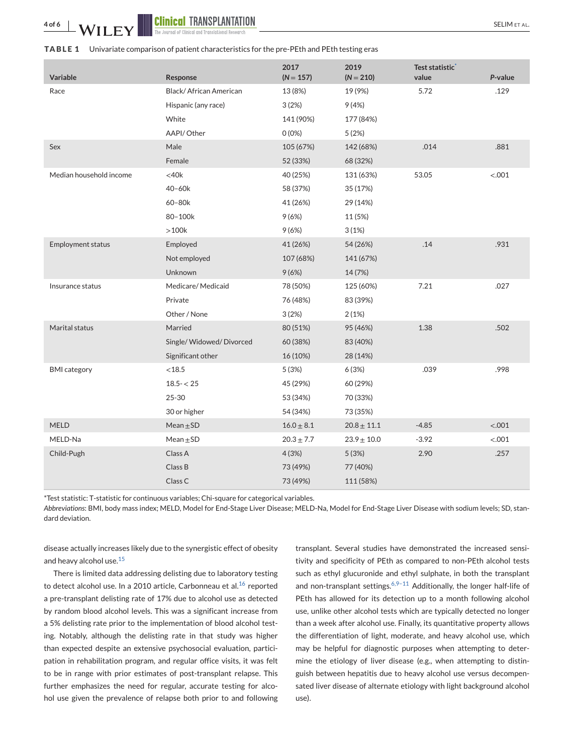<span id="page-5-0"></span>

| Variable                | Response                | 2017<br>$(N = 157)$ | 2019<br>$(N = 210)$ | Test statistic <sup>*</sup><br>value | P-value |
|-------------------------|-------------------------|---------------------|---------------------|--------------------------------------|---------|
| Race                    | Black/African American  | 13 (8%)             | 19 (9%)             | 5.72                                 | .129    |
|                         | Hispanic (any race)     | 3(2%)               | 9(4%)               |                                      |         |
|                         | White                   | 141 (90%)           | 177 (84%)           |                                      |         |
|                         | AAPI/Other              | $0(0\%)$            | 5(2%)               |                                      |         |
| Sex                     | Male                    | 105 (67%)           | 142 (68%)           | .014                                 | .881    |
|                         | Female                  | 52 (33%)            | 68 (32%)            |                                      |         |
| Median household income | $<$ 40 $k$              | 40 (25%)            | 131 (63%)           | 53.05                                | < .001  |
|                         | $40 - 60k$              | 58 (37%)            | 35 (17%)            |                                      |         |
|                         | 60-80k                  | 41 (26%)            | 29 (14%)            |                                      |         |
|                         | 80-100k                 | 9(6%)               | 11 (5%)             |                                      |         |
|                         | $>100k$                 | 9(6%)               | 3(1%)               |                                      |         |
| Employment status       | Employed                | 41 (26%)            | 54 (26%)            | .14                                  | .931    |
|                         | Not employed            | 107 (68%)           | 141 (67%)           |                                      |         |
|                         | <b>Unknown</b>          | 9(6%)               | 14 (7%)             |                                      |         |
| Insurance status        | Medicare/Medicaid       | 78 (50%)            | 125 (60%)           | 7.21                                 | .027    |
|                         | Private                 | 76 (48%)            | 83 (39%)            |                                      |         |
|                         | Other / None            | 3(2%)               | 2(1%)               |                                      |         |
| Marital status          | Married                 | 80 (51%)            | 95 (46%)            | 1.38                                 | .502    |
|                         | Single/Widowed/Divorced | 60 (38%)            | 83 (40%)            |                                      |         |
|                         | Significant other       | 16 (10%)            | 28 (14%)            |                                      |         |
| <b>BMI</b> category     | < 18.5                  | 5(3%)               | 6(3%)               | .039                                 | .998    |
|                         | $18.5 - 25$             | 45 (29%)            | 60 (29%)            |                                      |         |
|                         | 25-30                   | 53 (34%)            | 70 (33%)            |                                      |         |
|                         | 30 or higher            | 54 (34%)            | 73 (35%)            |                                      |         |
| <b>MELD</b>             | $Mean \pm SD$           | $16.0 \pm 8.1$      | $20.8 \pm 11.1$     | $-4.85$                              | < .001  |
| MELD-Na                 | $Mean \pm SD$           | $20.3 \pm 7.7$      | $23.9 \pm 10.0$     | $-3.92$                              | < .001  |
| Child-Pugh              | Class A                 | 4(3%)               | 5(3%)               | 2.90                                 | .257    |
|                         | Class B                 | 73 (49%)            | 77 (40%)            |                                      |         |
|                         | Class C                 | 73 (49%)            | 111 (58%)           |                                      |         |

\*Test statistic: T-statistic for continuous variables; Chi-square for categorical variables.

*Abbreviations*: BMI, body mass index; MELD, Model for End-Stage Liver Disease; MELD-Na, Model for End-Stage Liver Disease with sodium levels; SD, standard deviation.

disease actually increases likely due to the synergistic effect of obesity and heavy alcohol use.<sup>[15](#page-7-0)</sup>

There is limited data addressing delisting due to laboratory testing to detect alcohol use. In a 2010 article, Carbonneau et al.<sup>[16](#page-7-0)</sup> reported a pre-transplant delisting rate of 17% due to alcohol use as detected by random blood alcohol levels. This was a significant increase from a 5% delisting rate prior to the implementation of blood alcohol testing. Notably, although the delisting rate in that study was higher than expected despite an extensive psychosocial evaluation, participation in rehabilitation program, and regular office visits, it was felt to be in range with prior estimates of post-transplant relapse. This further emphasizes the need for regular, accurate testing for alcohol use given the prevalence of relapse both prior to and following

transplant. Several studies have demonstrated the increased sensitivity and specificity of PEth as compared to non-PEth alcohol tests such as ethyl glucuronide and ethyl sulphate, in both the transplant and non-transplant settings.<sup>6,9-11</sup> Additionally, the longer half-life of PEth has allowed for its detection up to a month following alcohol use, unlike other alcohol tests which are typically detected no longer than a week after alcohol use. Finally, its quantitative property allows the differentiation of light, moderate, and heavy alcohol use, which may be helpful for diagnostic purposes when attempting to determine the etiology of liver disease (e.g., when attempting to distinguish between hepatitis due to heavy alcohol use versus decompensated liver disease of alternate etiology with light background alcohol use).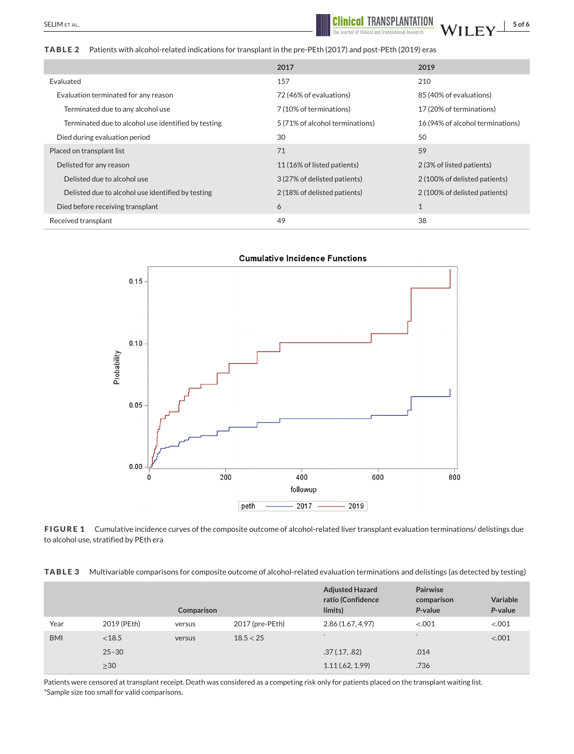<span id="page-6-0"></span>**TABLE 2** Patients with alcohol-related indications for transplant in the pre-PEth (2017) and post-PEth (2019) eras

|                                                     | 2017                            | 2019                             |  |
|-----------------------------------------------------|---------------------------------|----------------------------------|--|
| Evaluated                                           | 157                             | 210                              |  |
| Evaluation terminated for any reason                | 72 (46% of evaluations)         | 85 (40% of evaluations)          |  |
| Terminated due to any alcohol use                   | 7 (10% of terminations)         | 17 (20% of terminations)         |  |
| Terminated due to alcohol use identified by testing | 5 (71% of alcohol terminations) | 16 (94% of alcohol terminations) |  |
| Died during evaluation period                       | 30                              | 50                               |  |
| Placed on transplant list                           | 71                              | 59                               |  |
| Delisted for any reason                             | 11 (16% of listed patients)     | 2 (3% of listed patients)        |  |
| Delisted due to alcohol use                         | 3 (27% of delisted patients)    | 2 (100% of delisted patients)    |  |
| Delisted due to alcohol use identified by testing   | 2 (18% of delisted patients)    | 2 (100% of delisted patients)    |  |
| Died before receiving transplant                    | 6                               | $\mathbf{1}$                     |  |
| Received transplant                                 | 49                              | 38                               |  |



**FIGURE 1** Cumulative incidence curves of the composite outcome of alcohol-related liver transplant evaluation terminations/ delistings due to alcohol use, stratified by PEth era

**TABLE 3** Multivariable comparisons for composite outcome of alcohol-related evaluation terminations and delistings (as detected by testing)

|            |             | Comparison |                 | <b>Adjusted Hazard</b><br>ratio (Confidence<br>limits) | Pairwise<br>comparison<br>P-value | Variable<br>P-value |
|------------|-------------|------------|-----------------|--------------------------------------------------------|-----------------------------------|---------------------|
| Year       | 2019 (PEth) | versus     | 2017 (pre-PEth) | 2.86 (1.67, 4.97)                                      | < 0.001                           | < .001              |
| <b>BMI</b> | < 18.5      | versus     | 18.5 < 25       | $\ast$                                                 | $\cdot$                           | < .001              |
|            | $25 - 30$   |            |                 | .37(.17,.82)                                           | .014                              |                     |
|            | $\geq$ 30   |            |                 | 1.11(.62, 1.99)                                        | .736                              |                     |

Patients were censored at transplant receipt. Death was considered as a competing risk only for patients placed on the transplant waiting list. \*Sample size too small for valid comparisons.